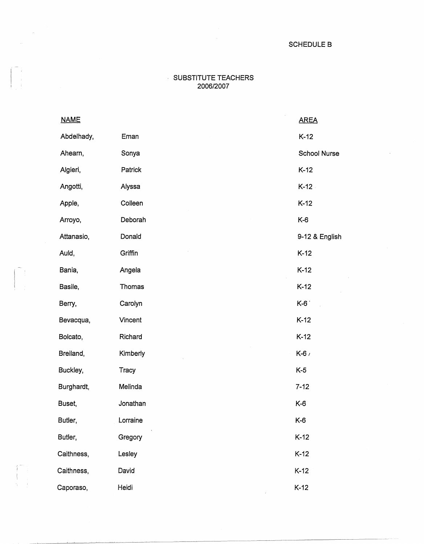## SUBSTITUTE TEACHERS 2006/2007

| <b>NAME</b> |               | <b>AREA</b>         |
|-------------|---------------|---------------------|
| Abdelhady,  | Eman          | $K-12$              |
| Ahearn,     | Sonya         | <b>School Nurse</b> |
| Algieri,    | Patrick       | $K-12$              |
| Angotti,    | Alyssa        | $K-12$              |
| Apple,      | Colleen       | $K-12$              |
| Arroyo,     | Deborah       | $K-6$               |
| Attanasio,  | Donald        | 9-12 & English      |
| Auld,       | Griffin       | $K-12$              |
| Bania,      | Angela        | $K-12$              |
| Basile,     | <b>Thomas</b> | $K-12$              |
| Berry,      | Carolyn       | K-6                 |
| Bevacqua,   | Vincent       | $K-12$              |
| Bolcato,    | Richard       | $K-12$              |
| Breiland,   | Kimberly      | $K-6$               |
| Buckley,    | Tracy         | $K-5$               |
| Burghardt,  | Melinda       | $7 - 12$            |
| Buset,      | Jonathan      | $K-6$               |
| Butler,     | Lorraine      | K-6                 |
| Butler,     | Gregory       | $K-12$              |
| Caithness,  | Lesley        | $K-12$              |
| Caithness,  | David         | $K-12$              |
| Caporaso,   | Heidi         | $K-12$              |

 $\mathcal{D}_{\frac{1}{2}}$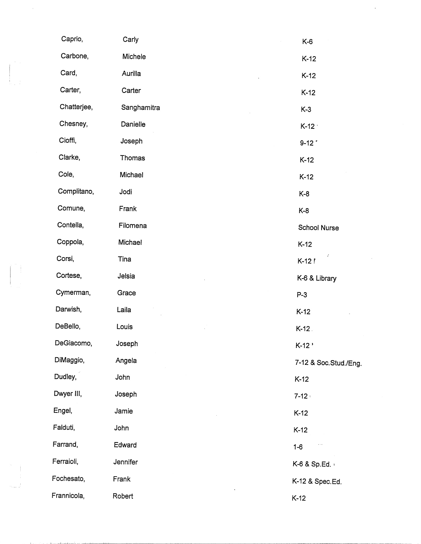| Caprio,     | Carly       | $K-6$                  |
|-------------|-------------|------------------------|
| Carbone,    | Michele     | $K-12$                 |
| Card,       | Aurilla     | $K-12$                 |
| Carter,     | Carter      | $K-12$                 |
| Chatterjee, | Sanghamitra | $K-3$                  |
| Chesney,    | Danielle    | $K-12$                 |
| Cioffi,     | Joseph      | $9-12$                 |
| Clarke,     | Thomas      | $K-12$                 |
| Cole,       | Michael     | $K-12$                 |
| Complitano, | Jodi        | $K-8$                  |
| Comune,     | Frank       | $K-8$                  |
| Contella,   | Filomena    | <b>School Nurse</b>    |
| Coppola,    | Michael     | $K-12$                 |
| Corsi,      | Tina        | $\mathcal{I}$<br>K-12! |
| Cortese,    | Jelsia      | K-6 & Library          |
| Cymerman,   | Grace       | $P-3$                  |
| Darwish,    | Laila       | $K-12$                 |
| DeBello,    | Louis       | $K-12$ .               |
| DeGiacomo,  | Joseph      | $K-12$                 |
| DiMaggio,   | Angela      | 7-12 & Soc.Stud./Eng.  |
| Dudley,     | John        | $K-12$                 |
| Dwyer III,  | Joseph      | $7 - 12$               |
| Engel,      | Jamie       | $K-12$                 |
| Falduti,    | John        | $K-12$                 |
| Farrand,    | Edward      | $1 - 6$                |
| Ferraioli,  | Jennifer    | K-6 & Sp.Ed.           |
| Fochesato,  | Frank       | K-12 & Spec.Ed.        |
| Frannicola, | Robert      | $K-12$                 |

 $\frac{1}{2}$ 

 $\frac{1}{2} \frac{1}{2} \frac{1}{2} \frac{1}{2} \frac{1}{2} \frac{1}{2} \frac{1}{2} \frac{1}{2} \frac{1}{2} \frac{1}{2} \frac{1}{2} \frac{1}{2} \frac{1}{2} \frac{1}{2} \frac{1}{2} \frac{1}{2} \frac{1}{2} \frac{1}{2} \frac{1}{2} \frac{1}{2} \frac{1}{2} \frac{1}{2} \frac{1}{2} \frac{1}{2} \frac{1}{2} \frac{1}{2} \frac{1}{2} \frac{1}{2} \frac{1}{2} \frac{1}{2} \frac{1}{2} \frac{$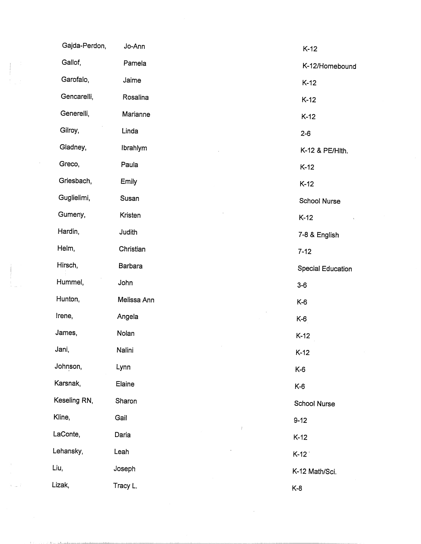|        | Gajda-Perdon, | Jo-Ann         | $K-12$                   |
|--------|---------------|----------------|--------------------------|
|        | Gallof,       | Pamela         | K-12/Homebound           |
|        | Garofalo,     | Jaime          | $K-12$                   |
|        | Gencarelli,   | Rosalina       | $K-12$                   |
|        | Generelli,    | Marianne       | $K-12$                   |
|        | Gilroy,       | Linda          | $2 - 6$                  |
|        | Gladney,      | Ibrahlym       | K-12 & PE/Hith.          |
|        | Greco,        | Paula          | $K-12$                   |
|        | Griesbach,    | Emily          | $K-12$                   |
|        | Guglielimi,   | Susan          | School Nurse             |
|        | Gumeny,       | Kristen        | $K-12$                   |
|        | Hardin,       | Judith         | 7-8 & English            |
|        | Helm,         | Christian      | $7 - 12$                 |
|        | Hirsch,       | <b>Barbara</b> | <b>Special Education</b> |
|        | Hummel,       | John           | $3-6$                    |
|        | Hunton,       | Melissa Ann    | $K-6$                    |
|        | Irene,        | Angela         | K-6                      |
|        | James,        | Nolan          | $K-12$                   |
|        | Jani,         | Nalini         | $K-12$                   |
|        | Johnson,      | Lynn           | $K-6$                    |
|        | Karsnak,      | Elaine         | $K-6$                    |
|        | Keseling RN,  | Sharon         | School Nurse             |
|        | Kline,        | Gail           | $9 - 12$                 |
|        | LaConte,      | Daria          | $K-12$                   |
|        | Lehansky,     | Leah           | $K-12$                   |
|        | Liu,          | Joseph         | K-12 Math/Sci.           |
| e la P | Lizak,        | Tracy L.       | $K-8$                    |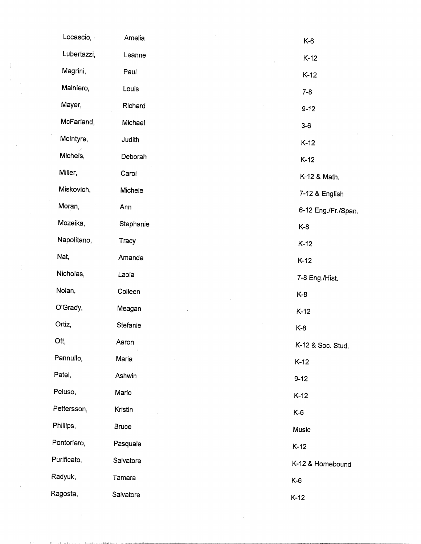|                | Locascio,   | Amelia       | $K-6$               |
|----------------|-------------|--------------|---------------------|
|                | Lubertazzi, | Leanne       | $K-12$              |
|                | Magrini,    | Paul         | $K-12$              |
| $\mathfrak{g}$ | Mainiero,   | Louis        | $7 - 8$             |
|                | Mayer,      | Richard      | $9 - 12$            |
|                | McFarland,  | Michael      | $3-6$               |
|                | McIntyre,   | Judith       | $K-12$              |
|                | Michels,    | Deborah      | $K-12$              |
|                | Miller,     | Carol        | K-12 & Math.        |
|                | Miskovich,  | Michele      | 7-12 & English      |
|                | Moran,      | Ann          | 6-12 Eng./Fr./Span. |
|                | Mozeika,    | Stephanie    | $K-8$               |
|                | Napolitano, | Tracy        | $K-12$              |
|                | Nat,        | Amanda       | $K-12$              |
|                | Nicholas,   | Laola        | 7-8 Eng./Hist.      |
|                | Nolan,      | Colleen      | $K-8$               |
|                | O'Grady,    | Meagan       | $K-12$              |
|                | Ortiz,      | Stefanie     | $K-8$               |
|                | Ott,        | Aaron        | K-12 & Soc. Stud.   |
|                | Pannullo,   | Maria        | $K-12$              |
|                | Patel,      | Ashwin       | $9 - 12$            |
|                | Peluso,     | Mario        | $K-12$              |
|                | Pettersson, | Kristin      | $K-6$               |
|                | Phillips,   | <b>Bruce</b> | Music               |
|                | Pontoriero, | Pasquale     | $K-12$              |
|                | Purificato, | Salvatore    | K-12 & Homebound    |
|                | Radyuk,     | Tamara       | $K-6$               |
|                | Ragosta,    | Salvatore    | $K-12$              |

 $\label{eq:2.1} \mathcal{L}(\mathcal{L}^{\text{max}}_{\mathcal{L}}(\mathcal{L}^{\text{max}}_{\mathcal{L}}))\leq \mathcal{L}(\mathcal{L}^{\text{max}}_{\mathcal{L}}(\mathcal{L}^{\text{max}}_{\mathcal{L}}))$ 

**Contractor** 

THE STORE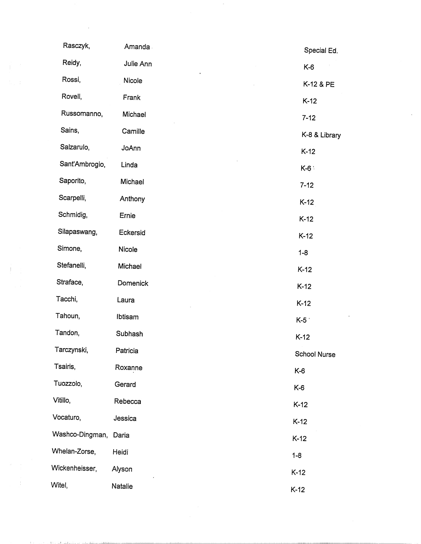| Rasczyk,        | Amanda    | Special Ed.   |
|-----------------|-----------|---------------|
| Reidy,          | Julie Ann | $K-6$         |
| Rossi,          | Nicole    | K-12 & PE     |
| Rovell,         | Frank     | $K-12$        |
| Russomanno,     | Michael   | $7 - 12$      |
| Sains,          | Camille   | K-8 & Library |
| Salzarulo,      | JoAnn     | $K-12$        |
| Sant'Ambrogio,  | Linda     | $K-6$         |
| Saporito,       | Michael   | $7 - 12$      |
| Scarpelli,      | Anthony   | $K-12$        |
| Schmidig,       | Ernie     | $K-12$        |
| Silapaswang,    | Eckersid  | $K-12$        |
| Simone,         | Nicole    | $1 - 8$       |
| Stefanelli,     | Michael   | $K-12$        |
| Straface,       | Domenick  | $K-12$        |
| Tacchi,         | Laura     | $K-12$        |
| Tahoun,         | Ibtisam   | $K-5$         |
| Tandon,         | Subhash   | $K-12$        |
| Tarczynski,     | Patricia  | School Nurse  |
| Tsairis,        | Roxanne   | $K-6$         |
| Tuozzolo,       | Gerard    | K-6           |
| Vitillo,        | Rebecca   | $K-12$        |
| Vocaturo,       | Jessica   | $K-12$        |
| Washco-Dingman, | Daria     | $K-12$        |
| Whelan-Zorse,   | Heidi     | $1 - 8$       |
| Wickenheisser,  | Alyson    | $K-12$        |
| Witel,          | Natalie   | $K-12$        |

 $\sim 20$ 

 $\sim$ 

 $\label{eq:2.1} \frac{1}{\sqrt{2}}\int_{\mathbb{R}^3}\frac{1}{\sqrt{2}}\left(\frac{1}{\sqrt{2}}\right)^2\frac{1}{\sqrt{2}}\left(\frac{1}{\sqrt{2}}\right)^2\frac{1}{\sqrt{2}}\left(\frac{1}{\sqrt{2}}\right)^2.$